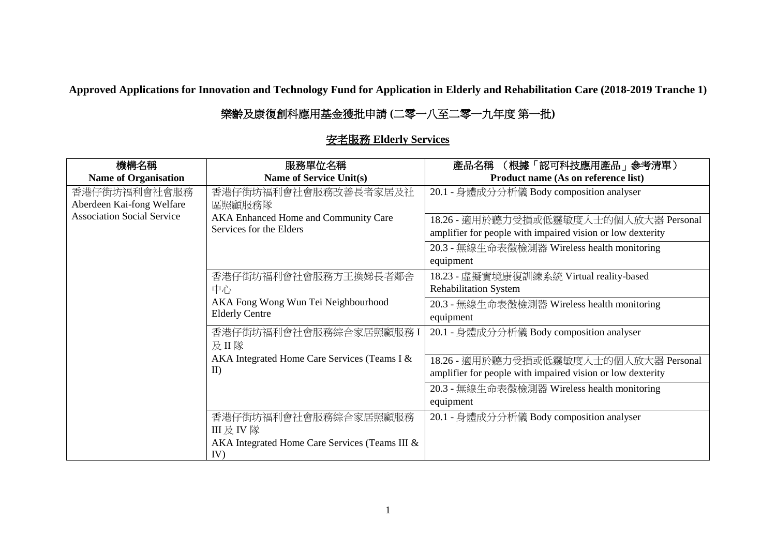**Approved Applications for Innovation and Technology Fund for Application in Elderly and Rehabilitation Care (2018-2019 Tranche 1)**

## 樂齡及康復創科應用基金獲批申請 **(**二零一八至二零一九年度 第一批**)**

| 機構名稱                              | 服務單位名稱                                         | (根據「認可科技應用產品」参考清單)<br>產品名稱                                 |
|-----------------------------------|------------------------------------------------|------------------------------------------------------------|
| <b>Name of Organisation</b>       | <b>Name of Service Unit(s)</b>                 | Product name (As on reference list)                        |
| 香港仔街坊福利會社會服務                      | 香港仔街坊福利會社會服務改善長者家居及社                           | 20.1 - 身體成分分析儀 Body composition analyser                   |
| Aberdeen Kai-fong Welfare         | 區照顧服務隊                                         |                                                            |
| <b>Association Social Service</b> | AKA Enhanced Home and Community Care           | 18.26 - 適用於聽力受損或低靈敏度人士的個人放大器 Personal                      |
|                                   | Services for the Elders                        | amplifier for people with impaired vision or low dexterity |
|                                   |                                                | 20.3 - 無線生命表徵檢測器 Wireless health monitoring                |
|                                   |                                                | equipment                                                  |
|                                   | 香港仔街坊福利會社會服務方王換娣長者鄰舍                           | 18.23 - 虛擬實境康復訓練系統 Virtual reality-based                   |
|                                   | 中心                                             | <b>Rehabilitation System</b>                               |
|                                   | AKA Fong Wong Wun Tei Neighbourhood            | 20.3 - 無線生命表徵檢測器 Wireless health monitoring                |
|                                   | <b>Elderly Centre</b>                          | equipment                                                  |
|                                   | 香港仔街坊福利會社會服務綜合家居照顧服務I                          | 20.1 - 身體成分分析儀 Body composition analyser                   |
|                                   | 及II隊                                           |                                                            |
|                                   | AKA Integrated Home Care Services (Teams I &   | 18.26 - 適用於聽力受損或低靈敏度人士的個人放大器 Personal                      |
|                                   | $\mathbf{I}$                                   | amplifier for people with impaired vision or low dexterity |
|                                   |                                                | 20.3 - 無線生命表徵檢測器 Wireless health monitoring                |
|                                   |                                                | equipment                                                  |
|                                   | 香港仔街坊福利會社會服務綜合家居照顧服務                           | 20.1 - 身體成分分析儀 Body composition analyser                   |
|                                   | III 及 IV 隊                                     |                                                            |
|                                   | AKA Integrated Home Care Services (Teams III & |                                                            |
|                                   | IV)                                            |                                                            |

## 安老服務 **Elderly Services**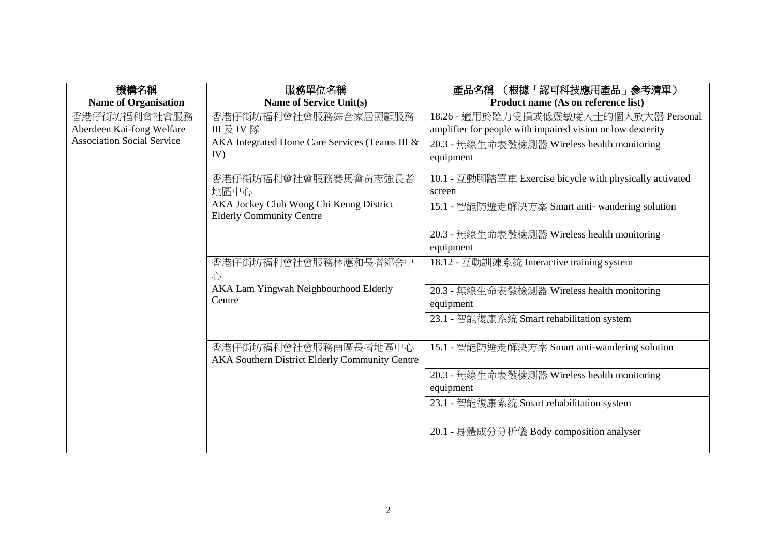| 機構名稱                              | 服務單位名稱                                                                     | 產品名稱 (根據「認可科技應用產品」參考清單)                                    |
|-----------------------------------|----------------------------------------------------------------------------|------------------------------------------------------------|
| <b>Name of Organisation</b>       | <b>Name of Service Unit(s)</b>                                             | Product name (As on reference list)                        |
| 香港仔街坊福利會社會服務                      | 香港仔街坊福利會社會服務綜合家居照顧服務                                                       | 18.26 - 適用於聽力受損或低靈敏度人士的個人放大器 Personal                      |
| Aberdeen Kai-fong Welfare         | III 及 IV 隊                                                                 | amplifier for people with impaired vision or low dexterity |
| <b>Association Social Service</b> | AKA Integrated Home Care Services (Teams III &                             | 20.3 - 無線生命表徵檢測器 Wireless health monitoring                |
|                                   | IV)                                                                        | equipment                                                  |
|                                   | 香港仔街坊福利會社會服務賽馬會黃志強長者                                                       | 10.1 - 互動腳踏單車 Exercise bicycle with physically activated   |
|                                   | 地區中心                                                                       | screen                                                     |
|                                   | AKA Jockey Club Wong Chi Keung District<br><b>Elderly Community Centre</b> | 15.1 - 智能防遊走解決方案 Smart anti- wandering solution            |
|                                   |                                                                            | 20.3 - 無線生命表徵檢測器 Wireless health monitoring                |
|                                   |                                                                            | equipment                                                  |
|                                   | 香港仔街坊福利會社會服務林應和長者鄰舍中                                                       | 18.12 - 互動訓練系統 Interactive training system                 |
|                                   | 心                                                                          |                                                            |
|                                   | AKA Lam Yingwah Neighbourhood Elderly<br>Centre                            | 20.3 - 無線生命表徵檢測器 Wireless health monitoring                |
|                                   |                                                                            | equipment                                                  |
|                                   |                                                                            | 23.1 - 智能復康系統 Smart rehabilitation system                  |
|                                   |                                                                            |                                                            |
|                                   | 香港仔街坊福利會社會服務南區長者地區中心<br>AKA Southern District Elderly Community Centre     | 15.1 - 智能防遊走解決方案 Smart anti-wandering solution             |
|                                   |                                                                            | 20.3 - 無線生命表徵檢測器 Wireless health monitoring                |
|                                   |                                                                            | equipment                                                  |
|                                   |                                                                            | 23.1 - 智能復康系統 Smart rehabilitation system                  |
|                                   |                                                                            |                                                            |
|                                   |                                                                            | 20.1 - 身體成分分析儀 Body composition analyser                   |
|                                   |                                                                            |                                                            |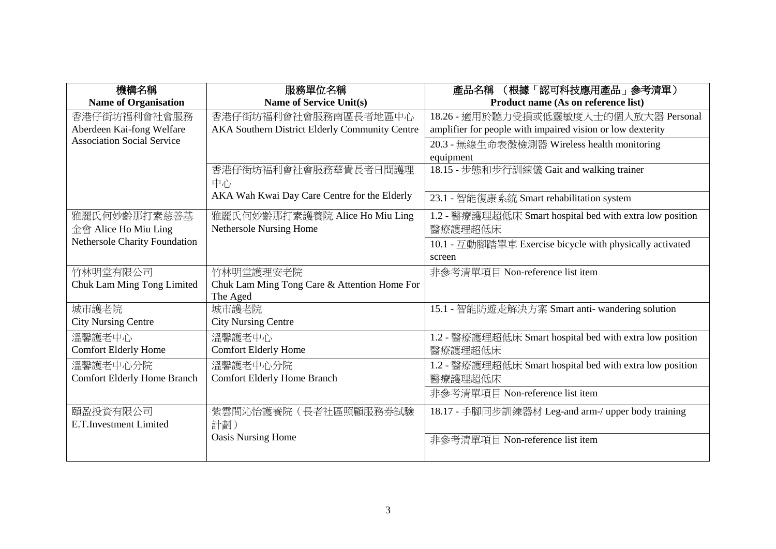| 機構名稱                               | 服務單位名稱                                         | (根據「認可科技應用產品」参考清單)<br>產品名稱                                 |
|------------------------------------|------------------------------------------------|------------------------------------------------------------|
| <b>Name of Organisation</b>        | <b>Name of Service Unit(s)</b>                 | Product name (As on reference list)                        |
| 香港仔街坊福利會社會服務                       | 香港仔街坊福利會社會服務南區長者地區中心                           | 18.26 - 適用於聽力受損或低靈敏度人士的個人放大器 Personal                      |
| Aberdeen Kai-fong Welfare          | AKA Southern District Elderly Community Centre | amplifier for people with impaired vision or low dexterity |
| <b>Association Social Service</b>  |                                                | 20.3 - 無線生命表徵檢測器 Wireless health monitoring                |
|                                    |                                                | equipment                                                  |
|                                    | 香港仔街坊福利會社會服務華貴長者日間護理                           | 18.15 - 步態和步行訓練儀 Gait and walking trainer                  |
|                                    | 中心                                             |                                                            |
|                                    | AKA Wah Kwai Day Care Centre for the Elderly   | 23.1 - 智能復康系統 Smart rehabilitation system                  |
| 雅麗氏何妙齡那打素慈善基                       | 雅麗氏何妙齡那打素護養院 Alice Ho Miu Ling                 | 1.2 - 醫療護理超低床 Smart hospital bed with extra low position   |
| 金會 Alice Ho Miu Ling               | Nethersole Nursing Home                        | 醫療護理超低床                                                    |
| Nethersole Charity Foundation      |                                                | 10.1 - 互動腳踏單車 Exercise bicycle with physically activated   |
|                                    |                                                | screen                                                     |
| 竹林明堂有限公司                           | 竹林明堂護理安老院                                      | 非參考清單項目 Non-reference list item                            |
| Chuk Lam Ming Tong Limited         | Chuk Lam Ming Tong Care & Attention Home For   |                                                            |
|                                    | The Aged                                       |                                                            |
| 城市護老院                              | 城市護老院                                          | 15.1 - 智能防遊走解決方案 Smart anti- wandering solution            |
| <b>City Nursing Centre</b>         | <b>City Nursing Centre</b>                     |                                                            |
| 溫馨護老中心                             | 溫馨護老中心                                         | 1.2 - 醫療護理超低床 Smart hospital bed with extra low position   |
| <b>Comfort Elderly Home</b>        | <b>Comfort Elderly Home</b>                    | 醫療護理超低床                                                    |
| 溫馨護老中心分院                           | 溫馨護老中心分院                                       | 1.2 - 醫療護理超低床 Smart hospital bed with extra low position   |
| <b>Comfort Elderly Home Branch</b> | <b>Comfort Elderly Home Branch</b>             | 醫療護理超低床                                                    |
|                                    |                                                | 非參考清單項目 Non-reference list item                            |
| 頤盈投資有限公司                           | 紫雲間沁怡護養院(長者社區照顧服務券試驗                           | 18.17 - 手腳同步訓練器材 Leg-and arm-/ upper body training         |
| E.T.Investment Limited             | 計劃)                                            |                                                            |
|                                    | <b>Oasis Nursing Home</b>                      | 非參考清單項目 Non-reference list item                            |
|                                    |                                                |                                                            |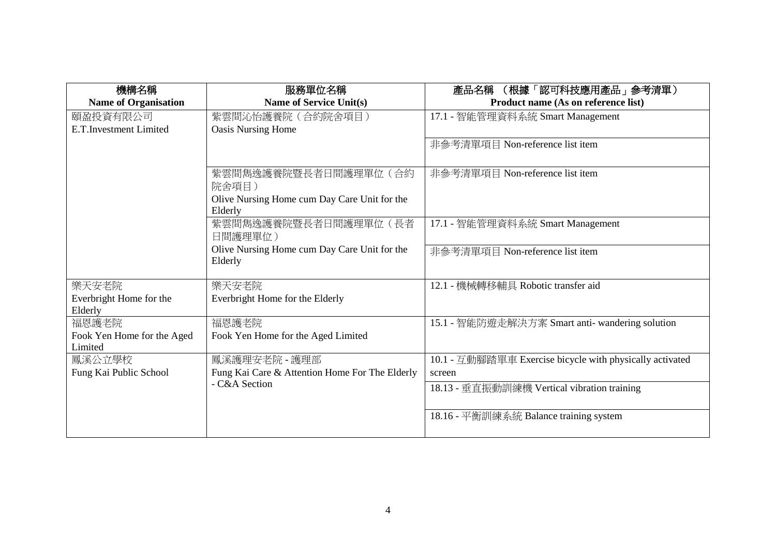| 機構名稱                                  | 服務單位名稱                                                  | (根據「認可科技應用產品」參考清單)<br>產品名稱                               |
|---------------------------------------|---------------------------------------------------------|----------------------------------------------------------|
| <b>Name of Organisation</b>           | <b>Name of Service Unit(s)</b>                          | Product name (As on reference list)                      |
| 頤盈投資有限公司                              | 紫雲間沁怡護養院 (合約院舍項目)                                       | 17.1 - 智能管理資料系統 Smart Management                         |
| E.T.Investment Limited                | <b>Oasis Nursing Home</b>                               |                                                          |
|                                       |                                                         | 非參考清單項目 Non-reference list item                          |
|                                       |                                                         |                                                          |
|                                       | 紫雲間雋逸護養院暨長者日間護理單位(合約                                    | 非參考清單項目 Non-reference list item                          |
|                                       | 院舍項目)                                                   |                                                          |
|                                       | Olive Nursing Home cum Day Care Unit for the<br>Elderly |                                                          |
|                                       | 紫雲間雋逸護養院暨長者日間護理單位(長者                                    | 17.1 - 智能管理資料系統 Smart Management                         |
|                                       | 日間護理單位)                                                 |                                                          |
|                                       | Olive Nursing Home cum Day Care Unit for the            | 非參考清單項目 Non-reference list item                          |
|                                       | Elderly                                                 |                                                          |
|                                       |                                                         |                                                          |
| 樂天安老院                                 | 樂天安老院                                                   | 12.1 - 機械轉移輔具 Robotic transfer aid                       |
| Everbright Home for the               | Everbright Home for the Elderly                         |                                                          |
| Elderly                               |                                                         |                                                          |
| 福恩護老院                                 | 福恩護老院                                                   | 15.1 - 智能防遊走解決方案 Smart anti- wandering solution          |
| Fook Yen Home for the Aged<br>Limited | Fook Yen Home for the Aged Limited                      |                                                          |
| 鳳溪公立學校                                | 鳳溪護理安老院 - 護理部                                           | 10.1 - 互動腳踏單車 Exercise bicycle with physically activated |
| Fung Kai Public School                | Fung Kai Care & Attention Home For The Elderly          | screen                                                   |
|                                       | - C&A Section                                           | 18.13 - 垂直振動訓練機 Vertical vibration training              |
|                                       |                                                         |                                                          |
|                                       |                                                         | 18.16 - 平衡訓練系統 Balance training system                   |
|                                       |                                                         |                                                          |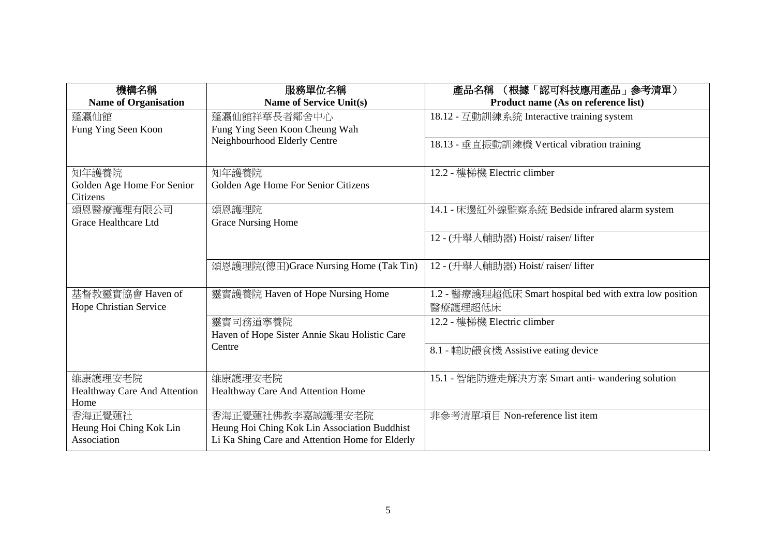| 機構名稱                         | 服務單位名稱                                          | (根據「認可科技應用產品」参考清單)<br>產品名稱                               |
|------------------------------|-------------------------------------------------|----------------------------------------------------------|
| <b>Name of Organisation</b>  | Name of Service Unit(s)                         | Product name (As on reference list)                      |
| 蓬瀛仙館                         | 蓬瀛仙館祥華長者鄰舍中心                                    | 18.12 - 互動訓練系統 Interactive training system               |
| Fung Ying Seen Koon          | Fung Ying Seen Koon Cheung Wah                  |                                                          |
|                              | Neighbourhood Elderly Centre                    | 18.13 - 垂直振動訓練機 Vertical vibration training              |
|                              |                                                 |                                                          |
| 知年護養院                        | 知年護養院                                           | 12.2 - 樓梯機 Electric climber                              |
| Golden Age Home For Senior   | Golden Age Home For Senior Citizens             |                                                          |
| Citizens                     |                                                 |                                                          |
| 頌恩醫療護理有限公司                   | 頌恩護理院                                           | 14.1 - 床邊紅外線監察系統 Bedside infrared alarm system           |
| Grace Healthcare Ltd         | <b>Grace Nursing Home</b>                       |                                                          |
|                              |                                                 | 12 - (升舉人輔助器) Hoist/ raiser/ lifter                      |
|                              |                                                 |                                                          |
|                              | 頌恩護理院(德田)Grace Nursing Home (Tak Tin)           | 12 - (升舉人輔助器) Hoist/ raiser/ lifter                      |
|                              |                                                 |                                                          |
| 基督教靈實協會 Haven of             | 靈實護養院 Haven of Hope Nursing Home                | 1.2 - 醫療護理超低床 Smart hospital bed with extra low position |
| Hope Christian Service       |                                                 | 醫療護理超低床                                                  |
|                              | 靈實司務道寧養院                                        | 12.2 - 樓梯機 Electric climber                              |
|                              | Haven of Hope Sister Annie Skau Holistic Care   |                                                          |
|                              | Centre                                          | 8.1 - 輔助餵食機 Assistive eating device                      |
|                              |                                                 |                                                          |
| 維康護理安老院                      | 維康護理安老院                                         | 15.1 - 智能防遊走解決方案 Smart anti- wandering solution          |
| Healthway Care And Attention | Healthway Care And Attention Home               |                                                          |
| Home                         |                                                 |                                                          |
| 香海正覺蓮社                       | 香海正覺蓮社佛教李嘉誠護理安老院                                | 非參考清單項目 Non-reference list item                          |
| Heung Hoi Ching Kok Lin      | Heung Hoi Ching Kok Lin Association Buddhist    |                                                          |
| Association                  | Li Ka Shing Care and Attention Home for Elderly |                                                          |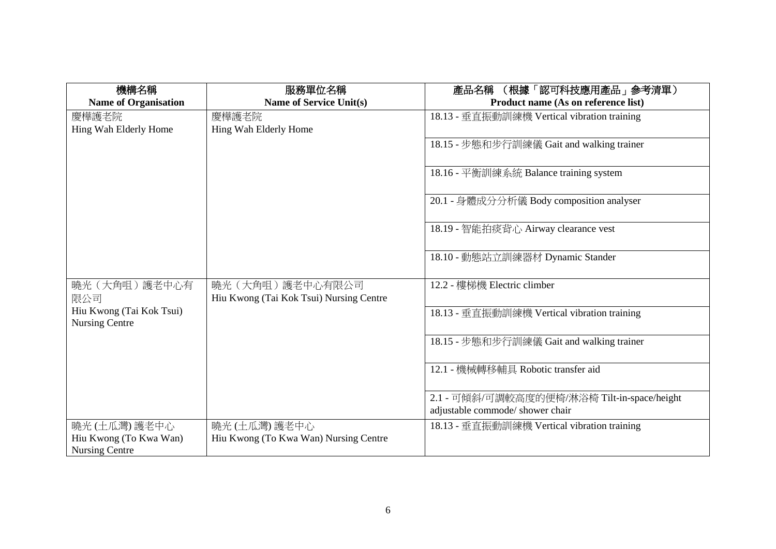| 機構名稱                                              | 服務單位名稱                                                       | (根據「認可科技應用產品」參考清單)<br>產品名稱                                                      |
|---------------------------------------------------|--------------------------------------------------------------|---------------------------------------------------------------------------------|
| <b>Name of Organisation</b>                       | <b>Name of Service Unit(s)</b>                               | Product name (As on reference list)                                             |
| 慶樺護老院                                             | 慶樺護老院                                                        | 18.13 - 垂直振動訓練機 Vertical vibration training                                     |
| Hing Wah Elderly Home                             | Hing Wah Elderly Home                                        |                                                                                 |
|                                                   |                                                              | 18.15 - 步態和步行訓練儀 Gait and walking trainer                                       |
|                                                   |                                                              | 18.16 - 平衡訓練系統 Balance training system                                          |
|                                                   |                                                              | 20.1 - 身體成分分析儀 Body composition analyser                                        |
|                                                   |                                                              | 18.19 - 智能拍痰背心 Airway clearance vest                                            |
|                                                   |                                                              | 18.10 - 動態站立訓練器材 Dynamic Stander                                                |
| 曉光 (大角咀) 護老中心有<br>限公司                             | 曉光 (大角咀) 護老中心有限公司<br>Hiu Kwong (Tai Kok Tsui) Nursing Centre | 12.2 - 樓梯機 Electric climber                                                     |
| Hiu Kwong (Tai Kok Tsui)<br><b>Nursing Centre</b> |                                                              | 18.13 - 垂直振動訓練機 Vertical vibration training                                     |
|                                                   |                                                              | 18.15 - 步態和步行訓練儀 Gait and walking trainer                                       |
|                                                   |                                                              | 12.1 - 機械轉移輔具 Robotic transfer aid                                              |
|                                                   |                                                              | 2.1 - 可傾斜/可調較高度的便椅/淋浴椅 Tilt-in-space/height<br>adjustable commode/ shower chair |
| 曉光 (土瓜灣) 護老中心                                     | 曉光 (土瓜灣) 護老中心                                                | 18.13 - 垂直振動訓練機 Vertical vibration training                                     |
| Hiu Kwong (To Kwa Wan)                            | Hiu Kwong (To Kwa Wan) Nursing Centre                        |                                                                                 |
| <b>Nursing Centre</b>                             |                                                              |                                                                                 |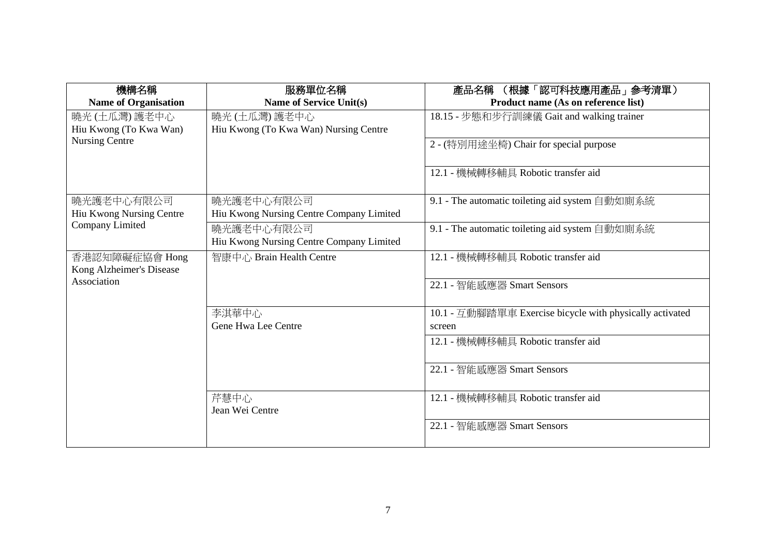| 機構名稱                                       | 服務單位名稱                                   | (根據「認可科技應用產品」 参考清單)<br>產品名稱                              |
|--------------------------------------------|------------------------------------------|----------------------------------------------------------|
| <b>Name of Organisation</b>                | Name of Service Unit(s)                  | Product name (As on reference list)                      |
| 曉光 (土瓜灣) 護老中心                              | 曉光 (土瓜灣) 護老中心                            | 18.15 - 步態和步行訓練儀 Gait and walking trainer                |
| Hiu Kwong (To Kwa Wan)                     | Hiu Kwong (To Kwa Wan) Nursing Centre    |                                                          |
| Nursing Centre                             |                                          | 2 - (特別用途坐椅) Chair for special purpose                   |
|                                            |                                          | 12.1 - 機械轉移輔具 Robotic transfer aid                       |
| 曉光護老中心有限公司                                 | 曉光護老中心有限公司                               | 9.1 - The automatic toileting aid system 自動如廁系統          |
| Hiu Kwong Nursing Centre                   | Hiu Kwong Nursing Centre Company Limited |                                                          |
| Company Limited                            | 曉光護老中心有限公司                               | 9.1 - The automatic toileting aid system 自動如廁系統          |
|                                            | Hiu Kwong Nursing Centre Company Limited |                                                          |
| 香港認知障礙症協會 Hong<br>Kong Alzheimer's Disease | 智康中心 Brain Health Centre                 | 12.1 - 機械轉移輔具 Robotic transfer aid                       |
| Association                                |                                          | 22.1 - 智能感應器 Smart Sensors                               |
|                                            | 李淇華中心                                    | 10.1 - 互動腳踏單車 Exercise bicycle with physically activated |
|                                            | Gene Hwa Lee Centre                      | screen                                                   |
|                                            |                                          | 12.1 - 機械轉移輔具 Robotic transfer aid                       |
|                                            |                                          | 22.1 - 智能感應器 Smart Sensors                               |
|                                            | 芹慧中心<br>Jean Wei Centre                  | 12.1 - 機械轉移輔具 Robotic transfer aid                       |
|                                            |                                          | 22.1 - 智能感應器 Smart Sensors                               |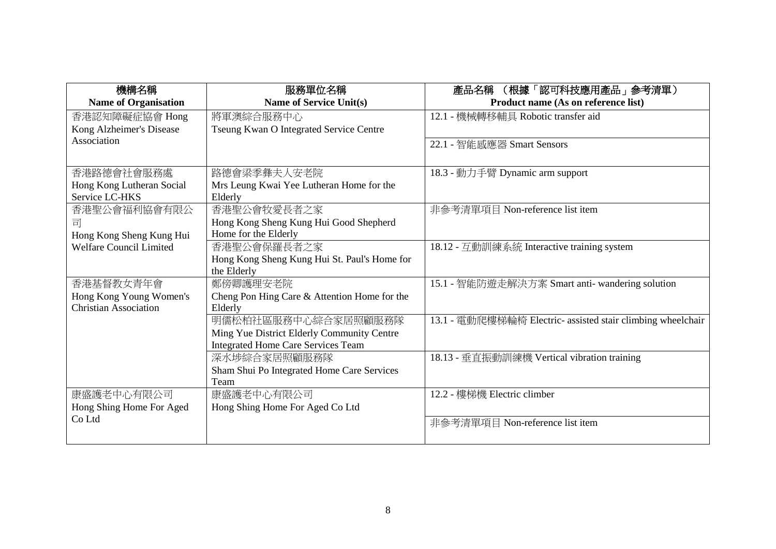| 機構名稱                           | 服務單位名稱                                       | (根據「認可科技應用產品」参考清單)<br>產品名稱                                  |
|--------------------------------|----------------------------------------------|-------------------------------------------------------------|
| <b>Name of Organisation</b>    | Name of Service Unit(s)                      | Product name (As on reference list)                         |
| 香港認知障礙症協會 Hong                 | 將軍澳綜合服務中心                                    | 12.1 - 機械轉移輔具 Robotic transfer aid                          |
| Kong Alzheimer's Disease       | Tseung Kwan O Integrated Service Centre      |                                                             |
| Association                    |                                              | 22.1 - 智能感應器 Smart Sensors                                  |
|                                |                                              |                                                             |
| 香港路德會社會服務處                     | 路德會梁季彝夫人安老院                                  | 18.3 - 動力手臂 Dynamic arm support                             |
| Hong Kong Lutheran Social      | Mrs Leung Kwai Yee Lutheran Home for the     |                                                             |
| Service LC-HKS                 | Elderly                                      |                                                             |
| 香港聖公會福利協會有限公                   | 香港聖公會牧愛長者之家                                  | 非參考清單項目 Non-reference list item                             |
| 킈                              | Hong Kong Sheng Kung Hui Good Shepherd       |                                                             |
| Hong Kong Sheng Kung Hui       | Home for the Elderly                         |                                                             |
| <b>Welfare Council Limited</b> | 香港聖公會保羅長者之家                                  | 18.12 - 互動訓練系統 Interactive training system                  |
|                                | Hong Kong Sheng Kung Hui St. Paul's Home for |                                                             |
|                                | the Elderly                                  |                                                             |
| 香港基督教女青年會                      | 鄭傍卿護理安老院                                     | 15.1 - 智能防遊走解決方案 Smart anti- wandering solution             |
| Hong Kong Young Women's        | Cheng Pon Hing Care & Attention Home for the |                                                             |
| <b>Christian Association</b>   | Elderly                                      |                                                             |
|                                | 明儒松柏社區服務中心綜合家居照顧服務隊                          | 13.1 - 電動爬樓梯輪椅 Electric- assisted stair climbing wheelchair |
|                                | Ming Yue District Elderly Community Centre   |                                                             |
|                                | <b>Integrated Home Care Services Team</b>    |                                                             |
|                                | 深水埗綜合家居照顧服務隊                                 | 18.13 - 垂直振動訓練機 Vertical vibration training                 |
|                                | Sham Shui Po Integrated Home Care Services   |                                                             |
|                                | Team                                         |                                                             |
| 康盛護老中心有限公司                     | 康盛護老中心有限公司                                   | 12.2 - 樓梯機 Electric climber                                 |
| Hong Shing Home For Aged       | Hong Shing Home For Aged Co Ltd              |                                                             |
| Co Ltd                         |                                              | 非參考清單項目 Non-reference list item                             |
|                                |                                              |                                                             |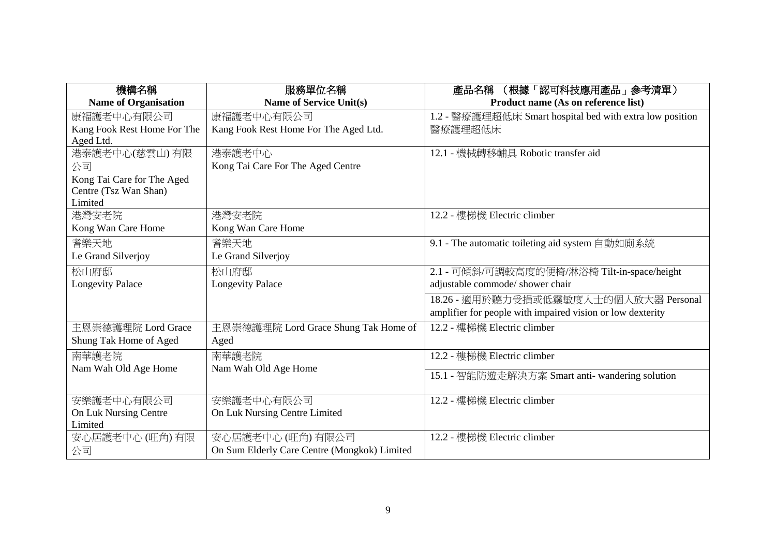| 機構名稱                        | 服務單位名稱                                       | (根據「認可科技應用產品」 参考清單)<br>產品名稱                                |
|-----------------------------|----------------------------------------------|------------------------------------------------------------|
| <b>Name of Organisation</b> | <b>Name of Service Unit(s)</b>               | Product name (As on reference list)                        |
| 康福護老中心有限公司                  | 康福護老中心有限公司                                   | 1.2 - 醫療護理超低床 Smart hospital bed with extra low position   |
| Kang Fook Rest Home For The | Kang Fook Rest Home For The Aged Ltd.        | 醫療護理超低床                                                    |
| Aged Ltd.                   |                                              |                                                            |
| 港泰護老中心(慈雲山) 有限              | 港泰護老中心                                       | 12.1 - 機械轉移輔具 Robotic transfer aid                         |
| 公司                          | Kong Tai Care For The Aged Centre            |                                                            |
| Kong Tai Care for The Aged  |                                              |                                                            |
| Centre (Tsz Wan Shan)       |                                              |                                                            |
| Limited                     |                                              |                                                            |
| 港灣安老院                       | 港灣安老院                                        | 12.2 - 樓梯機 Electric climber                                |
| Kong Wan Care Home          | Kong Wan Care Home                           |                                                            |
| 耆樂天地                        | 耆樂天地                                         | 9.1 - The automatic toileting aid system 自動如廁系統            |
| Le Grand Silverjoy          | Le Grand Silverjoy                           |                                                            |
| 松山府邸                        | 松山府邸                                         | 2.1 - 可傾斜/可調較高度的便椅/淋浴椅 Tilt-in-space/height                |
| <b>Longevity Palace</b>     | <b>Longevity Palace</b>                      | adjustable commode/ shower chair                           |
|                             |                                              | 18.26 - 適用於聽力受損或低靈敏度人士的個人放大器 Personal                      |
|                             |                                              | amplifier for people with impaired vision or low dexterity |
| 主恩崇德護理院 Lord Grace          | 主恩崇德護理院 Lord Grace Shung Tak Home of         | 12.2 - 樓梯機 Electric climber                                |
| Shung Tak Home of Aged      | Aged                                         |                                                            |
| 南華護老院                       | 南華護老院                                        | 12.2 - 樓梯機 Electric climber                                |
| Nam Wah Old Age Home        | Nam Wah Old Age Home                         | 15.1 - 智能防遊走解決方案 Smart anti- wandering solution            |
|                             |                                              |                                                            |
| 安樂護老中心有限公司                  | 安樂護老中心有限公司                                   | 12.2 - 樓梯機 Electric climber                                |
| On Luk Nursing Centre       | On Luk Nursing Centre Limited                |                                                            |
| Limited                     |                                              |                                                            |
| 安心居護老中心 (旺角) 有限             | 安心居護老中心 (旺角) 有限公司                            | 12.2 - 樓梯機 Electric climber                                |
| 公司                          | On Sum Elderly Care Centre (Mongkok) Limited |                                                            |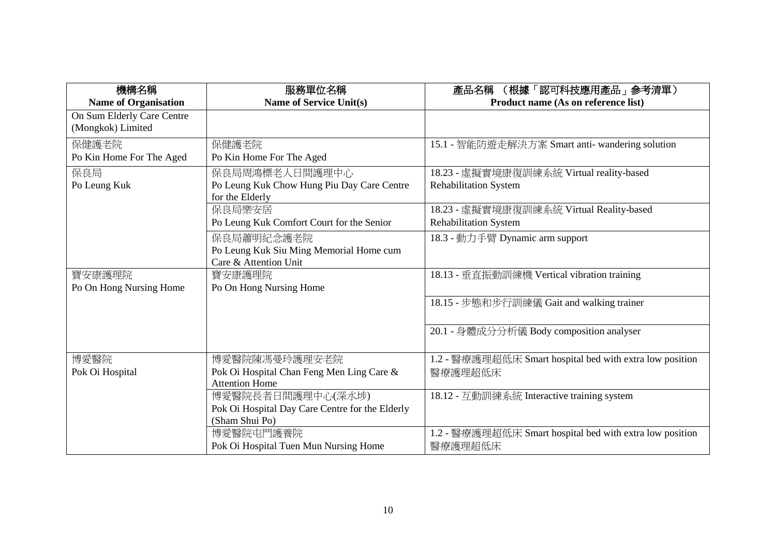| 機構名稱                        | 服務單位名稱                                          | (根據「認可科技應用產品」参考清單)<br>產品名稱                               |
|-----------------------------|-------------------------------------------------|----------------------------------------------------------|
| <b>Name of Organisation</b> | <b>Name of Service Unit(s)</b>                  | Product name (As on reference list)                      |
| On Sum Elderly Care Centre  |                                                 |                                                          |
| (Mongkok) Limited           |                                                 |                                                          |
| 保健護老院                       | 保健護老院                                           | 15.1 - 智能防遊走解決方案 Smart anti- wandering solution          |
| Po Kin Home For The Aged    | Po Kin Home For The Aged                        |                                                          |
| 保良局                         | 保良局周鴻標老人日間護理中心                                  | 18.23 - 虛擬實境康復訓練系統 Virtual reality-based                 |
| Po Leung Kuk                | Po Leung Kuk Chow Hung Piu Day Care Centre      | <b>Rehabilitation System</b>                             |
|                             | for the Elderly                                 |                                                          |
|                             | 保良局樂安居                                          | 18.23 - 虛擬實境康復訓練系統 Virtual Reality-based                 |
|                             | Po Leung Kuk Comfort Court for the Senior       | <b>Rehabilitation System</b>                             |
|                             | 保良局蕭明紀念護老院                                      | 18.3 - 動力手臂 Dynamic arm support                          |
|                             | Po Leung Kuk Siu Ming Memorial Home cum         |                                                          |
|                             | Care & Attention Unit                           |                                                          |
| 寶安康護理院                      | 寶安康護理院                                          | 18.13 - 垂直振動訓練機 Vertical vibration training              |
| Po On Hong Nursing Home     | Po On Hong Nursing Home                         |                                                          |
|                             |                                                 | 18.15 - 步態和步行訓練儀 Gait and walking trainer                |
|                             |                                                 |                                                          |
|                             |                                                 | 20.1 - 身體成分分析儀 Body composition analyser                 |
|                             |                                                 |                                                          |
| 博愛醫院                        | 博愛醫院陳馮曼玲護理安老院                                   | 1.2 - 醫療護理超低床 Smart hospital bed with extra low position |
| Pok Oi Hospital             | Pok Oi Hospital Chan Feng Men Ling Care &       | 醫療護理超低床                                                  |
|                             | <b>Attention Home</b>                           |                                                          |
|                             | 博愛醫院長者日間護理中心(深水埗)                               | 18.12 - 互動訓練系統 Interactive training system               |
|                             | Pok Oi Hospital Day Care Centre for the Elderly |                                                          |
|                             | (Sham Shui Po)                                  |                                                          |
|                             | 博愛醫院屯門護養院                                       | 1.2 - 醫療護理超低床 Smart hospital bed with extra low position |
|                             | Pok Oi Hospital Tuen Mun Nursing Home           | 醫療護理超低床                                                  |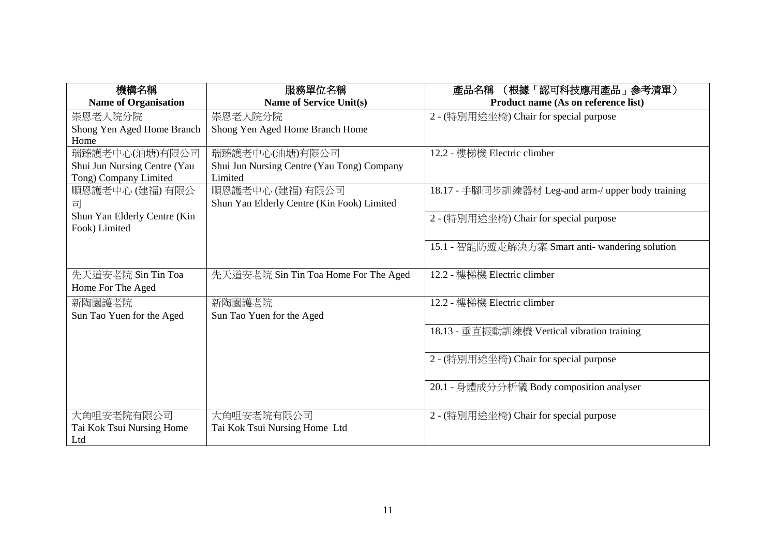| 機構名稱                         | 服務單位名稱                                     | (根據「認可科技應用產品」參考清單)<br>產品名稱                         |
|------------------------------|--------------------------------------------|----------------------------------------------------|
| <b>Name of Organisation</b>  | <b>Name of Service Unit(s)</b>             | Product name (As on reference list)                |
| 崇恩老人院分院                      | 崇恩老人院分院                                    | 2 - (特別用途坐椅) Chair for special purpose             |
| Shong Yen Aged Home Branch   | Shong Yen Aged Home Branch Home            |                                                    |
| Home                         |                                            |                                                    |
| 瑞臻護老中心(油塘)有限公司               | 瑞臻護老中心(油塘)有限公司                             | 12.2 - 樓梯機 Electric climber                        |
| Shui Jun Nursing Centre (Yau | Shui Jun Nursing Centre (Yau Tong) Company |                                                    |
| Tong) Company Limited        | Limited                                    |                                                    |
| 順恩護老中心 (建福) 有限公              | 順恩護老中心 (建福) 有限公司                           | 18.17 - 手腳同步訓練器材 Leg-and arm-/ upper body training |
| 司                            | Shun Yan Elderly Centre (Kin Fook) Limited |                                                    |
| Shun Yan Elderly Centre (Kin |                                            | 2 - (特別用途坐椅) Chair for special purpose             |
| Fook) Limited                |                                            |                                                    |
|                              |                                            | 15.1 - 智能防遊走解決方案 Smart anti- wandering solution    |
|                              |                                            |                                                    |
| 先天道安老院 Sin Tin Toa           | 先天道安老院 Sin Tin Toa Home For The Aged       | 12.2 - 樓梯機 Electric climber                        |
| Home For The Aged            |                                            |                                                    |
|                              |                                            |                                                    |
| 新陶園護老院                       | 新陶園護老院                                     | 12.2 - 樓梯機 Electric climber                        |
| Sun Tao Yuen for the Aged    | Sun Tao Yuen for the Aged                  |                                                    |
|                              |                                            | 18.13 - 垂直振動訓練機 Vertical vibration training        |
|                              |                                            |                                                    |
|                              |                                            | 2 - (特別用途坐椅) Chair for special purpose             |
|                              |                                            |                                                    |
|                              |                                            | 20.1 - 身體成分分析儀 Body composition analyser           |
|                              |                                            |                                                    |
| 大角咀安老院有限公司                   | 大角咀安老院有限公司                                 | 2 - (特別用途坐椅) Chair for special purpose             |
| Tai Kok Tsui Nursing Home    | Tai Kok Tsui Nursing Home Ltd              |                                                    |
| Ltd                          |                                            |                                                    |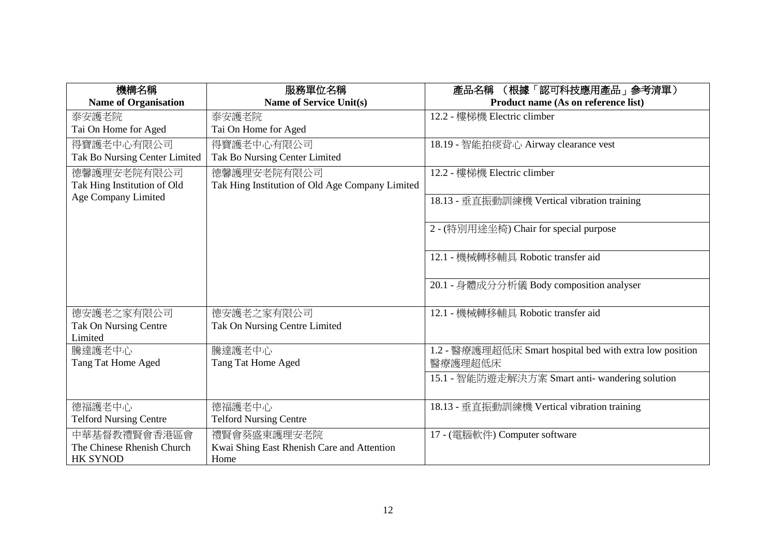| 機構名稱                                       | 服務單位名稱                                                    | 產品名稱 (根據「認可科技應用產品」參考清單)                                             |
|--------------------------------------------|-----------------------------------------------------------|---------------------------------------------------------------------|
| <b>Name of Organisation</b>                | <b>Name of Service Unit(s)</b>                            | Product name (As on reference list)                                 |
| 泰安護老院                                      | 泰安護老院                                                     | 12.2 - 樓梯機 Electric climber                                         |
| Tai On Home for Aged                       | Tai On Home for Aged                                      |                                                                     |
| 得寶護老中心有限公司                                 | 得寶護老中心有限公司                                                | 18.19 - 智能拍痰背心 Airway clearance vest                                |
| Tak Bo Nursing Center Limited              | Tak Bo Nursing Center Limited                             |                                                                     |
| 德馨護理安老院有限公司                                | 德馨護理安老院有限公司                                               | 12.2 - 樓梯機 Electric climber                                         |
| Tak Hing Institution of Old                | Tak Hing Institution of Old Age Company Limited           |                                                                     |
| Age Company Limited                        |                                                           | 18.13 - 垂直振動訓練機 Vertical vibration training                         |
|                                            |                                                           |                                                                     |
|                                            |                                                           | 2 - (特別用途坐椅) Chair for special purpose                              |
|                                            |                                                           |                                                                     |
|                                            |                                                           | 12.1 - 機械轉移輔具 Robotic transfer aid                                  |
|                                            |                                                           |                                                                     |
|                                            |                                                           | 20.1 - 身體成分分析儀 Body composition analyser                            |
|                                            |                                                           |                                                                     |
| 德安護老之家有限公司                                 | 德安護老之家有限公司                                                | 12.1 - 機械轉移輔具 Robotic transfer aid                                  |
| Tak On Nursing Centre                      | Tak On Nursing Centre Limited                             |                                                                     |
| Limited                                    |                                                           |                                                                     |
| 騰達護老中心<br>Tang Tat Home Aged               | 騰達護老中心<br>Tang Tat Home Aged                              | 1.2 - 醫療護理超低床 Smart hospital bed with extra low position<br>醫療護理超低床 |
|                                            |                                                           |                                                                     |
|                                            |                                                           | 15.1 - 智能防遊走解決方案 Smart anti- wandering solution                     |
| 德福護老中心                                     | 德福護老中心                                                    |                                                                     |
| <b>Telford Nursing Centre</b>              | <b>Telford Nursing Centre</b>                             | 18.13 - 垂直振動訓練機 Vertical vibration training                         |
|                                            |                                                           |                                                                     |
| 中華基督教禮賢會香港區會<br>The Chinese Rhenish Church | 禮賢會葵盛東護理安老院<br>Kwai Shing East Rhenish Care and Attention | 17 - (電腦軟件) Computer software                                       |
| <b>HK SYNOD</b>                            | Home                                                      |                                                                     |
|                                            |                                                           |                                                                     |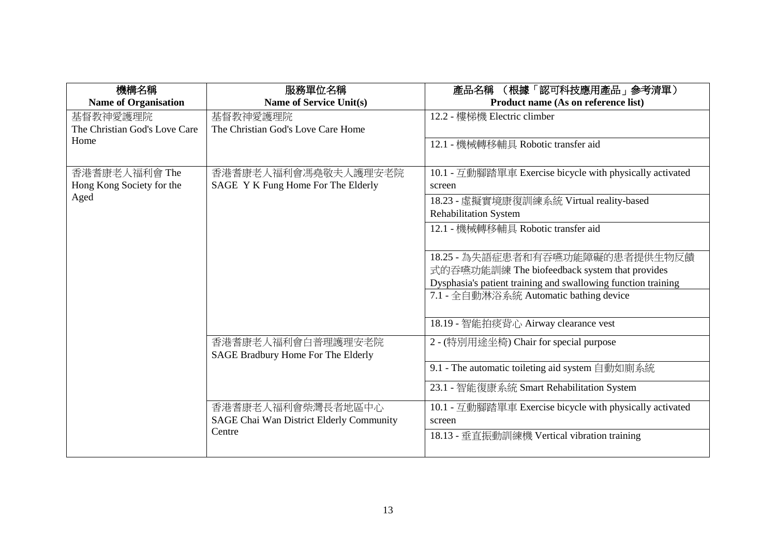| 機構名稱                          | 服務單位名稱                                                        | 產品名稱 (根據「認可科技應用產品」參考清單)                                            |
|-------------------------------|---------------------------------------------------------------|--------------------------------------------------------------------|
| <b>Name of Organisation</b>   | <b>Name of Service Unit(s)</b>                                | Product name (As on reference list)                                |
| 基督教神愛護理院                      | 基督教神愛護理院                                                      | 12.2 - 樓梯機 Electric climber                                        |
| The Christian God's Love Care | The Christian God's Love Care Home                            |                                                                    |
| Home                          |                                                               | 12.1 - 機械轉移輔具 Robotic transfer aid                                 |
| 香港耆康老人福利會 The                 | 香港耆康老人福利會馮堯敬夫人護理安老院                                           | 10.1 - 互動腳踏單車 Exercise bicycle with physically activated           |
| Hong Kong Society for the     | SAGE Y K Fung Home For The Elderly                            | screen                                                             |
| Aged                          |                                                               | 18.23 - 虛擬實境康復訓練系統 Virtual reality-based                           |
|                               |                                                               | <b>Rehabilitation System</b>                                       |
|                               |                                                               | 12.1 - 機械轉移輔具 Robotic transfer aid                                 |
|                               |                                                               |                                                                    |
|                               |                                                               | 18.25 - 為失語症患者和有吞嚥功能障礙的患者提供生物反饋                                    |
|                               |                                                               | 式的吞嚥功能訓練 The biofeedback system that provides                      |
|                               |                                                               | Dysphasia's patient training and swallowing function training      |
|                               |                                                               | 7.1 - 全自動淋浴系統 Automatic bathing device                             |
|                               |                                                               | 18.19 - 智能拍痰背心 Airway clearance vest                               |
|                               | 香港耆康老人福利會白普理護理安老院<br>SAGE Bradbury Home For The Elderly       | 2 - (特別用途坐椅) Chair for special purpose                             |
|                               |                                                               | 9.1 - The automatic toileting aid system 自動如廁系統                    |
|                               |                                                               | 23.1 - 智能復康系統 Smart Rehabilitation System                          |
|                               | 香港耆康老人福利會柴灣長者地區中心<br>SAGE Chai Wan District Elderly Community | 10.1 - 互動腳踏單車 Exercise bicycle with physically activated<br>screen |
|                               | Centre                                                        | 18.13 - 垂直振動訓練機 Vertical vibration training                        |
|                               |                                                               |                                                                    |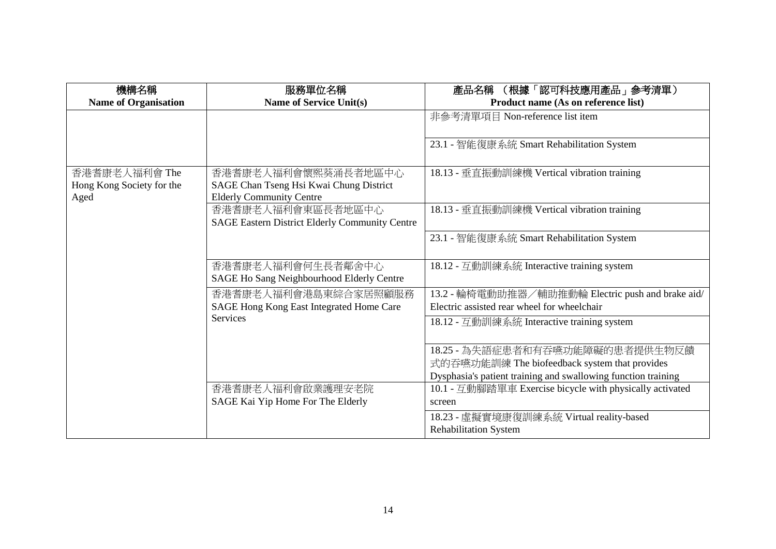| 機構名稱                        | 服務單位名稱                                                | (根據「認可科技應用產品」參考清單)<br>產品名稱                                    |
|-----------------------------|-------------------------------------------------------|---------------------------------------------------------------|
| <b>Name of Organisation</b> | Name of Service Unit(s)                               | Product name (As on reference list)                           |
|                             |                                                       | 非參考清單項目 Non-reference list item                               |
|                             |                                                       |                                                               |
|                             |                                                       | 23.1 - 智能復康系統 Smart Rehabilitation System                     |
|                             |                                                       |                                                               |
| 香港耆康老人福利會 The               | 香港耆康老人福利會懷熙葵涌長者地區中心                                   | 18.13 - 垂直振動訓練機 Vertical vibration training                   |
| Hong Kong Society for the   | SAGE Chan Tseng Hsi Kwai Chung District               |                                                               |
| Aged                        | <b>Elderly Community Centre</b>                       |                                                               |
|                             | 香港耆康老人福利會東區長者地區中心                                     | 18.13 - 垂直振動訓練機 Vertical vibration training                   |
|                             | <b>SAGE Eastern District Elderly Community Centre</b> |                                                               |
|                             |                                                       | 23.1 - 智能復康系統 Smart Rehabilitation System                     |
|                             |                                                       |                                                               |
|                             | 香港耆康老人福利會何生長者鄰舍中心                                     | 18.12 - 互動訓練系統 Interactive training system                    |
|                             | SAGE Ho Sang Neighbourhood Elderly Centre             |                                                               |
|                             | 香港耆康老人福利會港島東綜合家居照顧服務                                  | 13.2 - 輪椅電動助推器/輔助推動輪 Electric push and brake aid/             |
|                             | SAGE Hong Kong East Integrated Home Care              | Electric assisted rear wheel for wheelchair                   |
|                             | Services                                              | 18.12 - 互動訓練系統 Interactive training system                    |
|                             |                                                       |                                                               |
|                             |                                                       | 18.25 - 為失語症患者和有吞嚥功能障礙的患者提供生物反饋                               |
|                             |                                                       | 式的吞嚥功能訓練 The biofeedback system that provides                 |
|                             |                                                       | Dysphasia's patient training and swallowing function training |
|                             | 香港耆康老人福利會啟業護理安老院                                      | 10.1 - 互動腳踏單車 Exercise bicycle with physically activated      |
|                             | SAGE Kai Yip Home For The Elderly                     | screen                                                        |
|                             |                                                       | 18.23 - 虛擬實境康復訓練系統 Virtual reality-based                      |
|                             |                                                       | <b>Rehabilitation System</b>                                  |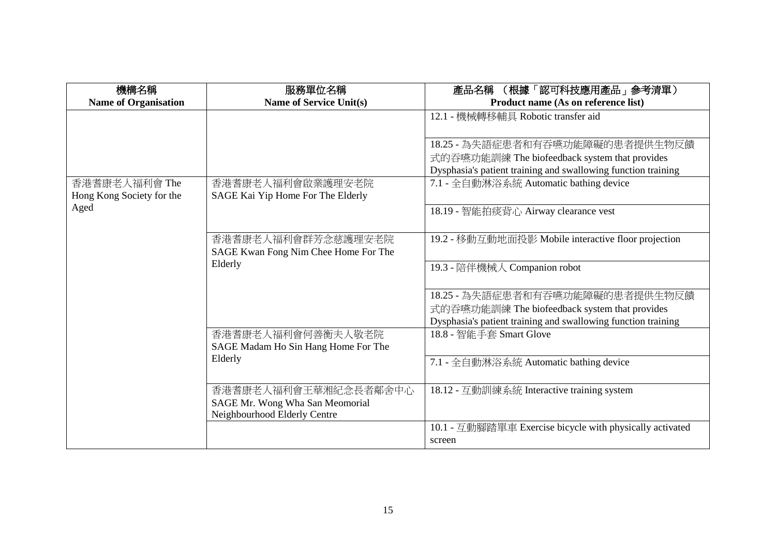| 機構名稱                        | 服務單位名稱                               | (根據「認可科技應用產品」参考清單)<br>產品名稱                                    |
|-----------------------------|--------------------------------------|---------------------------------------------------------------|
| <b>Name of Organisation</b> | <b>Name of Service Unit(s)</b>       | Product name (As on reference list)                           |
|                             |                                      | 12.1 - 機械轉移輔具 Robotic transfer aid                            |
|                             |                                      |                                                               |
|                             |                                      | 18.25 - 為失語症患者和有吞嚥功能障礙的患者提供生物反饋                               |
|                             |                                      | 式的吞嚥功能訓練 The biofeedback system that provides                 |
|                             |                                      | Dysphasia's patient training and swallowing function training |
| 香港耆康老人福利會 The               | 香港耆康老人福利會啟業護理安老院                     | 7.1 - 全自動淋浴系統 Automatic bathing device                        |
| Hong Kong Society for the   | SAGE Kai Yip Home For The Elderly    |                                                               |
| Aged                        |                                      | 18.19 - 智能拍痰背心 Airway clearance vest                          |
|                             |                                      |                                                               |
|                             | 香港耆康老人福利會群芳念慈護理安老院                   | 19.2 - 移動互動地面投影 Mobile interactive floor projection           |
|                             | SAGE Kwan Fong Nim Chee Home For The |                                                               |
|                             | Elderly                              | 19.3 - 陪伴機械人 Companion robot                                  |
|                             |                                      |                                                               |
|                             |                                      | 18.25 - 為失語症患者和有吞嚥功能障礙的患者提供生物反饋                               |
|                             |                                      | 式的吞嚥功能訓練 The biofeedback system that provides                 |
|                             |                                      | Dysphasia's patient training and swallowing function training |
|                             | 香港耆康老人福利會何善衡夫人敬老院                    | 18.8 - 智能手套 Smart Glove                                       |
|                             | SAGE Madam Ho Sin Hang Home For The  |                                                               |
|                             | Elderly                              | 7.1 - 全自動淋浴系統 Automatic bathing device                        |
|                             |                                      |                                                               |
|                             | 香港耆康老人福利會王華湘紀念長者鄰舍中心                 | 18.12 - 互動訓練系統 Interactive training system                    |
|                             | SAGE Mr. Wong Wha San Meomorial      |                                                               |
|                             | Neighbourhood Elderly Centre         |                                                               |
|                             |                                      | 10.1 - 互動腳踏單車 Exercise bicycle with physically activated      |
|                             |                                      | screen                                                        |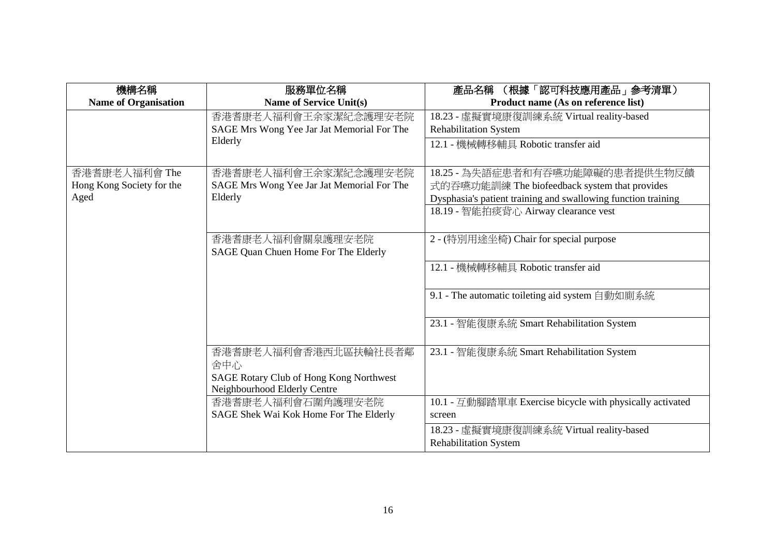| 機構名稱                        | 服務單位名稱                                     | 產品名稱 (根據「認可科技應用產品」參考清單)                                       |
|-----------------------------|--------------------------------------------|---------------------------------------------------------------|
| <b>Name of Organisation</b> | <b>Name of Service Unit(s)</b>             | Product name (As on reference list)                           |
|                             | 香港耆康老人福利會王余家潔紀念護理安老院                       | 18.23 - 虛擬實境康復訓練系統 Virtual reality-based                      |
|                             | SAGE Mrs Wong Yee Jar Jat Memorial For The | <b>Rehabilitation System</b>                                  |
|                             | Elderly                                    | 12.1 - 機械轉移輔具 Robotic transfer aid                            |
|                             |                                            |                                                               |
| 香港耆康老人福利會 The               | 香港耆康老人福利會王余家潔紀念護理安老院                       | 18.25 - 為失語症患者和有吞嚥功能障礙的患者提供生物反饋                               |
| Hong Kong Society for the   | SAGE Mrs Wong Yee Jar Jat Memorial For The | 式的吞嚥功能訓練 The biofeedback system that provides                 |
| Aged                        | Elderly                                    | Dysphasia's patient training and swallowing function training |
|                             |                                            | 18.19 - 智能拍痰背心 Airway clearance vest                          |
|                             |                                            |                                                               |
|                             | 香港耆康老人福利會關泉護理安老院                           | 2 - (特別用途坐椅) Chair for special purpose                        |
|                             | SAGE Quan Chuen Home For The Elderly       |                                                               |
|                             |                                            | 12.1 - 機械轉移輔具 Robotic transfer aid                            |
|                             |                                            |                                                               |
|                             |                                            | 9.1 - The automatic toileting aid system 自動如廁系統               |
|                             |                                            |                                                               |
|                             |                                            | 23.1 - 智能復康系統 Smart Rehabilitation System                     |
|                             |                                            |                                                               |
|                             | 香港耆康老人福利會香港西北區扶輪社長者鄰                       | 23.1 - 智能復康系統 Smart Rehabilitation System                     |
|                             | 舍中心                                        |                                                               |
|                             | SAGE Rotary Club of Hong Kong Northwest    |                                                               |
|                             | Neighbourhood Elderly Centre               |                                                               |
|                             | 香港耆康老人福利會石圍角護理安老院                          | 10.1 - 互動腳踏單車 Exercise bicycle with physically activated      |
|                             | SAGE Shek Wai Kok Home For The Elderly     | screen                                                        |
|                             |                                            | 18.23 - 虛擬實境康復訓練系統 Virtual reality-based                      |
|                             |                                            | <b>Rehabilitation System</b>                                  |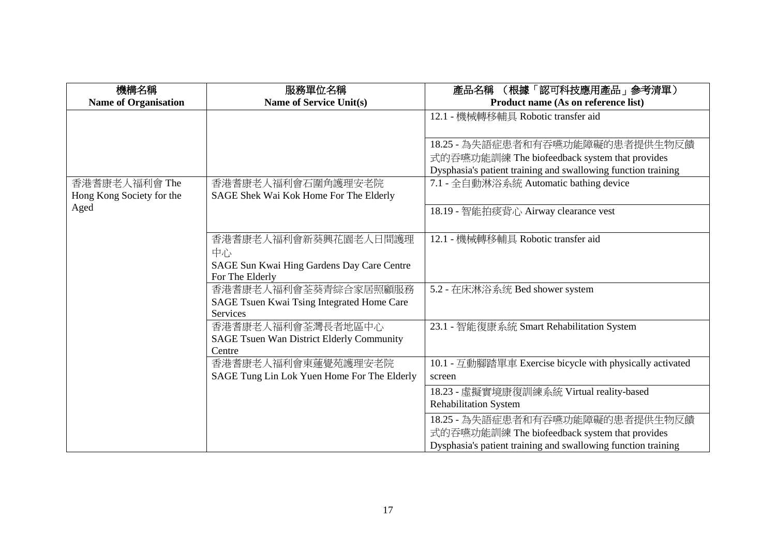| 機構名稱                        | 服務單位名稱                                                     | (根據「認可科技應用產品」參考清單)<br>產品名稱                                    |
|-----------------------------|------------------------------------------------------------|---------------------------------------------------------------|
| <b>Name of Organisation</b> | <b>Name of Service Unit(s)</b>                             | Product name (As on reference list)                           |
|                             |                                                            | 12.1 - 機械轉移輔具 Robotic transfer aid                            |
|                             |                                                            |                                                               |
|                             |                                                            | 18.25 - 為失語症患者和有吞嚥功能障礙的患者提供生物反饋                               |
|                             |                                                            | 式的吞嚥功能訓練 The biofeedback system that provides                 |
|                             |                                                            | Dysphasia's patient training and swallowing function training |
| 香港耆康老人福利會 The               | 香港耆康老人福利會石圍角護理安老院                                          | 7.1 - 全自動淋浴系統 Automatic bathing device                        |
| Hong Kong Society for the   | SAGE Shek Wai Kok Home For The Elderly                     |                                                               |
| Aged                        |                                                            | 18.19 - 智能拍痰背心 Airway clearance vest                          |
|                             |                                                            |                                                               |
|                             | 香港耆康老人福利會新葵興花園老人日間護理                                       | 12.1 - 機械轉移輔具 Robotic transfer aid                            |
|                             | 中心                                                         |                                                               |
|                             | SAGE Sun Kwai Hing Gardens Day Care Centre                 |                                                               |
|                             | For The Elderly                                            |                                                               |
|                             | 香港耆康老人福利會荃葵青綜合家居照顧服務                                       | 5.2 - 在床淋浴系统 Bed shower system                                |
|                             | SAGE Tsuen Kwai Tsing Integrated Home Care                 |                                                               |
|                             | Services                                                   |                                                               |
|                             | 香港耆康老人福利會荃灣長者地區中心                                          | 23.1 - 智能復康系統 Smart Rehabilitation System                     |
|                             | <b>SAGE Tsuen Wan District Elderly Community</b><br>Centre |                                                               |
|                             | 香港耆康老人福利會東蓮覺苑護理安老院                                         | 10.1 - 互動腳踏單車 Exercise bicycle with physically activated      |
|                             | SAGE Tung Lin Lok Yuen Home For The Elderly                | screen                                                        |
|                             |                                                            |                                                               |
|                             |                                                            | 18.23 - 虛擬實境康復訓練系統 Virtual reality-based                      |
|                             |                                                            | <b>Rehabilitation System</b>                                  |
|                             |                                                            | 18.25 - 為失語症患者和有吞嚥功能障礙的患者提供生物反饋                               |
|                             |                                                            | 式的吞嚥功能訓練 The biofeedback system that provides                 |
|                             |                                                            | Dysphasia's patient training and swallowing function training |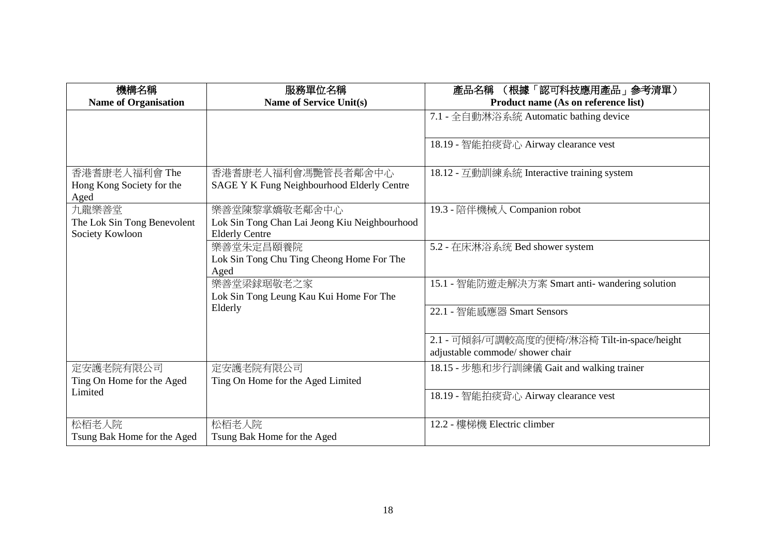| 機構名稱                        | 服務單位名稱                                        | (根據「認可科技應用產品」參考清單)<br>產品名稱                      |
|-----------------------------|-----------------------------------------------|-------------------------------------------------|
| <b>Name of Organisation</b> | Name of Service Unit(s)                       | Product name (As on reference list)             |
|                             |                                               | 7.1 - 全自動淋浴系統 Automatic bathing device          |
|                             |                                               |                                                 |
|                             |                                               | 18.19 - 智能拍痰背心 Airway clearance vest            |
|                             |                                               |                                                 |
| 香港耆康老人福利會 The               | 香港耆康老人福利會馮艷管長者鄰舍中心                            | 18.12 - 互動訓練系統 Interactive training system      |
| Hong Kong Society for the   | SAGE Y K Fung Neighbourhood Elderly Centre    |                                                 |
| Aged                        |                                               |                                                 |
| 九龍樂善堂                       | 樂善堂陳黎掌嬌敬老鄰舍中心                                 | 19.3 - 陪伴機械人 Companion robot                    |
| The Lok Sin Tong Benevolent | Lok Sin Tong Chan Lai Jeong Kiu Neighbourhood |                                                 |
| Society Kowloon             | <b>Elderly Centre</b>                         |                                                 |
|                             | 樂善堂朱定昌頤養院                                     | 5.2 - 在床淋浴系统 Bed shower system                  |
|                             | Lok Sin Tong Chu Ting Cheong Home For The     |                                                 |
|                             | Aged                                          |                                                 |
|                             | 樂善堂梁銶琚敬老之家                                    | 15.1 - 智能防遊走解決方案 Smart anti- wandering solution |
|                             | Lok Sin Tong Leung Kau Kui Home For The       |                                                 |
|                             | Elderly                                       | 22.1 - 智能感應器 Smart Sensors                      |
|                             |                                               |                                                 |
|                             |                                               | 2.1 - 可傾斜/可調較高度的便椅/淋浴椅 Tilt-in-space/height     |
|                             |                                               | adjustable commode/ shower chair                |
| 定安護老院有限公司                   | 定安護老院有限公司                                     | 18.15 - 步態和步行訓練儀 Gait and walking trainer       |
| Ting On Home for the Aged   | Ting On Home for the Aged Limited             |                                                 |
| Limited                     |                                               | 18.19 - 智能拍痰背心 Airway clearance vest            |
|                             |                                               |                                                 |
| 松栢老人院                       | 松栢老人院                                         | 12.2 - 樓梯機 Electric climber                     |
| Tsung Bak Home for the Aged | Tsung Bak Home for the Aged                   |                                                 |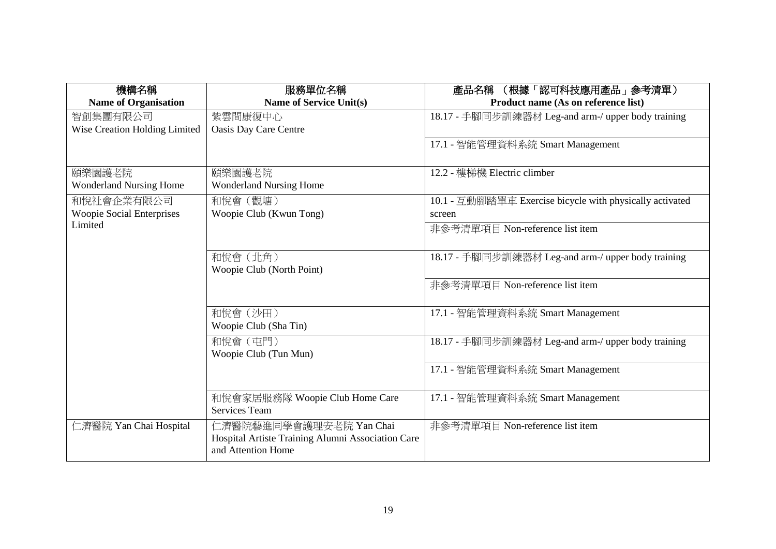| 機構名稱                             | 服務單位名稱                                                                                             | (根據「認可科技應用產品」参考清單)<br>產品名稱                               |
|----------------------------------|----------------------------------------------------------------------------------------------------|----------------------------------------------------------|
| <b>Name of Organisation</b>      | Name of Service Unit(s)                                                                            | Product name (As on reference list)                      |
| 智創集團有限公司                         | 紫雲間康復中心                                                                                            | 18.17 - 手腳同步訓練器材 Leg-and arm-/ upper body training       |
| Wise Creation Holding Limited    | <b>Oasis Day Care Centre</b>                                                                       |                                                          |
|                                  |                                                                                                    | 17.1 - 智能管理資料系統 Smart Management                         |
| 頤樂園護老院                           | 頤樂園護老院                                                                                             | 12.2 - 樓梯機 Electric climber                              |
| <b>Wonderland Nursing Home</b>   | <b>Wonderland Nursing Home</b>                                                                     |                                                          |
| 和悅社會企業有限公司                       | 和悅會 (觀塘)                                                                                           | 10.1 - 互動腳踏單車 Exercise bicycle with physically activated |
| <b>Woopie Social Enterprises</b> | Woopie Club (Kwun Tong)                                                                            | screen                                                   |
| Limited                          |                                                                                                    | 非參考清單項目 Non-reference list item                          |
|                                  | 和悅會 (北角)<br>Woopie Club (North Point)                                                              | 18.17 - 手腳同步訓練器材 Leg-and arm-/ upper body training       |
|                                  |                                                                                                    | 非參考清單項目 Non-reference list item                          |
|                                  | 和悅會(沙田)<br>Woopie Club (Sha Tin)                                                                   | 17.1 - 智能管理資料系統 Smart Management                         |
|                                  | 和悅會 (屯門)<br>Woopie Club (Tun Mun)                                                                  | 18.17 - 手腳同步訓練器材 Leg-and arm-/ upper body training       |
|                                  |                                                                                                    | 17.1 - 智能管理資料系統 Smart Management                         |
|                                  | 和悅會家居服務隊 Woopie Club Home Care<br><b>Services Team</b>                                             | 17.1 - 智能管理資料系統 Smart Management                         |
| 二濟醫院 Yan Chai Hospital           | 仁濟醫院藝進同學會護理安老院 Yan Chai<br>Hospital Artiste Training Alumni Association Care<br>and Attention Home | 非參考清單項目 Non-reference list item                          |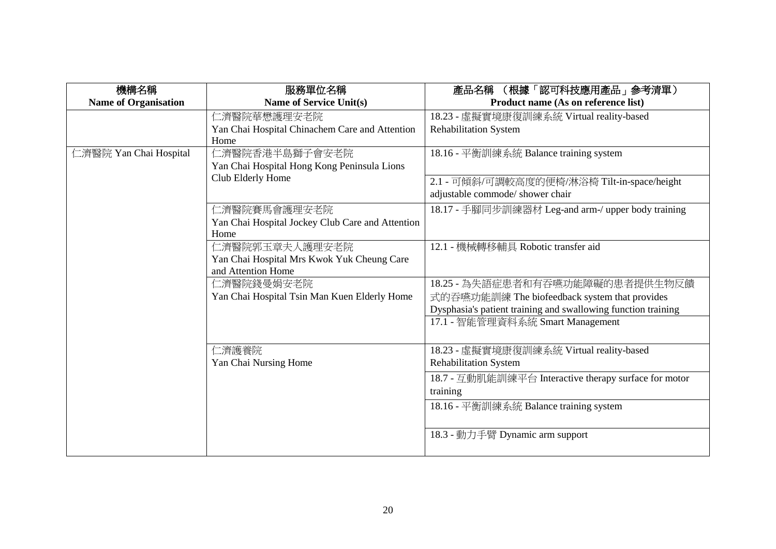| 機構名稱                        | 服務單位名稱                                                           | 產品名稱 (根據「認可科技應用產品」參考清單)                                       |
|-----------------------------|------------------------------------------------------------------|---------------------------------------------------------------|
| <b>Name of Organisation</b> | <b>Name of Service Unit(s)</b>                                   | Product name (As on reference list)                           |
|                             | 仁濟醫院華懋護理安老院                                                      | 18.23 - 虛擬實境康復訓練系統 Virtual reality-based                      |
|                             | Yan Chai Hospital Chinachem Care and Attention                   | <b>Rehabilitation System</b>                                  |
|                             | Home                                                             |                                                               |
| 二濟醫院 Yan Chai Hospital      | 仁濟醫院香港半島獅子會安老院                                                   | 18.16 - 平衡訓練系統 Balance training system                        |
|                             | Yan Chai Hospital Hong Kong Peninsula Lions                      |                                                               |
|                             | Club Elderly Home                                                | 2.1 - 可傾斜/可調較高度的便椅/淋浴椅 Tilt-in-space/height                   |
|                             |                                                                  | adjustable commode/ shower chair                              |
|                             | 仁濟醫院賽馬會護理安老院                                                     | 18.17 - 手腳同步訓練器材 Leg-and arm-/ upper body training            |
|                             | Yan Chai Hospital Jockey Club Care and Attention                 |                                                               |
|                             | Home                                                             |                                                               |
|                             | 仁濟醫院郭玉章夫人護理安老院                                                   | 12.1 - 機械轉移輔具 Robotic transfer aid                            |
|                             | Yan Chai Hospital Mrs Kwok Yuk Cheung Care<br>and Attention Home |                                                               |
|                             | 仁濟醫院錢曼娟安老院                                                       | 18.25 - 為失語症患者和有吞嚥功能障礙的患者提供生物反饋                               |
|                             | Yan Chai Hospital Tsin Man Kuen Elderly Home                     | 式的吞嚥功能訓練 The biofeedback system that provides                 |
|                             |                                                                  | Dysphasia's patient training and swallowing function training |
|                             |                                                                  | 17.1 - 智能管理資料系統 Smart Management                              |
|                             |                                                                  |                                                               |
|                             | 仁濟護養院                                                            | 18.23 - 虛擬實境康復訓練系統 Virtual reality-based                      |
|                             | Yan Chai Nursing Home                                            | <b>Rehabilitation System</b>                                  |
|                             |                                                                  | 18.7 - 互動肌能訓練平台 Interactive therapy surface for motor         |
|                             |                                                                  | training                                                      |
|                             |                                                                  | 18.16 - 平衡訓練系統 Balance training system                        |
|                             |                                                                  |                                                               |
|                             |                                                                  | 18.3 - 動力手臂 Dynamic arm support                               |
|                             |                                                                  |                                                               |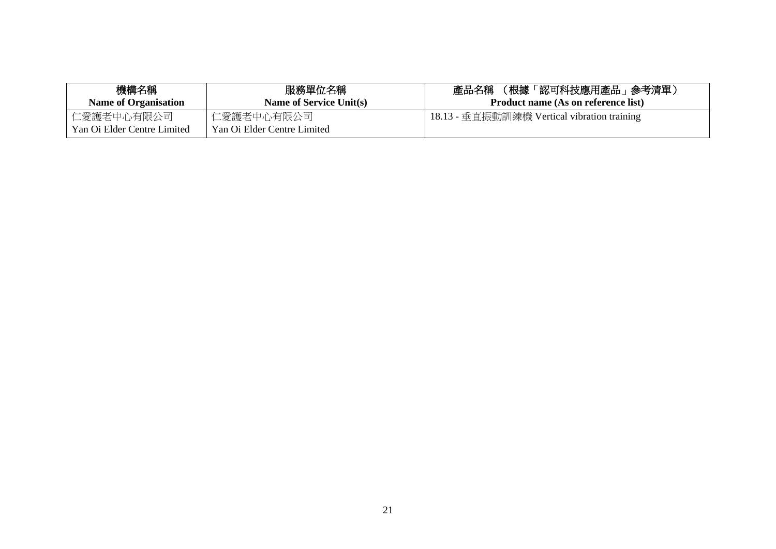| 機構名稱<br><b>Name of Organisation</b>       | 服務單位名稱<br><b>Name of Service Unit(s)</b>  | (根據「認可科技應用產品」 參考清單)<br>產品名稱<br><b>Product name (As on reference list)</b> |
|-------------------------------------------|-------------------------------------------|---------------------------------------------------------------------------|
| 仁愛護老中心有限公司<br>Yan Oi Elder Centre Limited | 仁愛護老中心有限公司<br>Yan Oi Elder Centre Limited | 18.13 - 垂直振動訓練機 Vertical vibration training                               |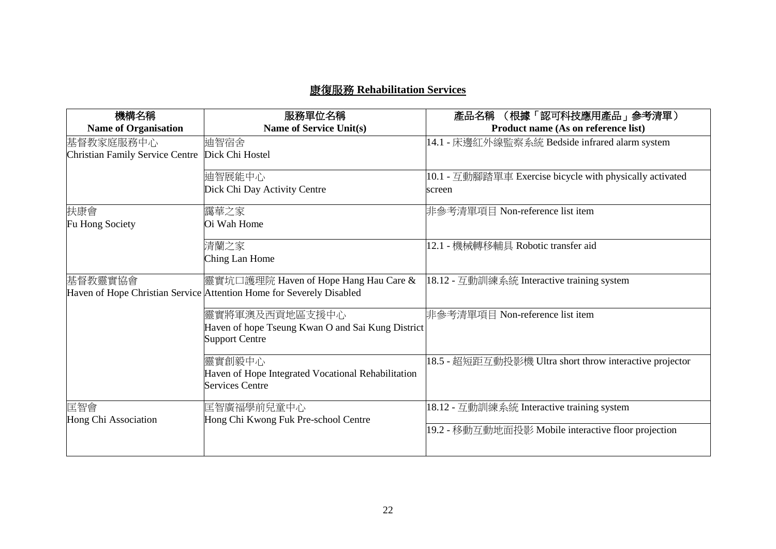## 康復服務 **Rehabilitation Services**

| 機構名稱                                   | 服務單位名稱                                                               | (根據「認可科技應用產品」参考清單)<br>產品名稱                               |
|----------------------------------------|----------------------------------------------------------------------|----------------------------------------------------------|
| <b>Name of Organisation</b>            | <b>Name of Service Unit(s)</b>                                       | Product name (As on reference list)                      |
| 基督教家庭服務中心                              | 迪智宿舍                                                                 | 14.1 - 床邊紅外線監察系統 Bedside infrared alarm system           |
| <b>Christian Family Service Centre</b> | Dick Chi Hostel                                                      |                                                          |
|                                        | 迪智展能中心                                                               | 10.1 - 互動腳踏單車 Exercise bicycle with physically activated |
|                                        | Dick Chi Day Activity Centre                                         | screen                                                   |
| 扶康會                                    | 靄華之家                                                                 | 非參考清單項目 Non-reference list item                          |
| Fu Hong Society                        | Oi Wah Home                                                          |                                                          |
|                                        | 清蘭之家                                                                 | 12.1 - 機械轉移輔具 Robotic transfer aid                       |
|                                        | Ching Lan Home                                                       |                                                          |
| 基督教靈實協會                                | 靈實坑□護理院 Haven of Hope Hang Hau Care &                                | 18.12 - 互動訓練系統 Interactive training system               |
|                                        | Haven of Hope Christian Service Attention Home for Severely Disabled |                                                          |
|                                        | 靈實將軍澳及西貢地區支援中心                                                       | 非參考清單項目 Non-reference list item                          |
|                                        | Haven of hope Tseung Kwan O and Sai Kung District                    |                                                          |
|                                        | <b>Support Centre</b>                                                |                                                          |
|                                        | 靈實創毅中心                                                               | 18.5 - 超短距互動投影機 Ultra short throw interactive projector  |
|                                        | Haven of Hope Integrated Vocational Rehabilitation                   |                                                          |
|                                        | <b>Services Centre</b>                                               |                                                          |
| 匡智會                                    | 匡智廣福學前兒童中心                                                           | 18.12 - 互動訓練系統 Interactive training system               |
| Hong Chi Association                   | Hong Chi Kwong Fuk Pre-school Centre                                 |                                                          |
|                                        |                                                                      | 19.2 - 移動互動地面投影 Mobile interactive floor projection      |
|                                        |                                                                      |                                                          |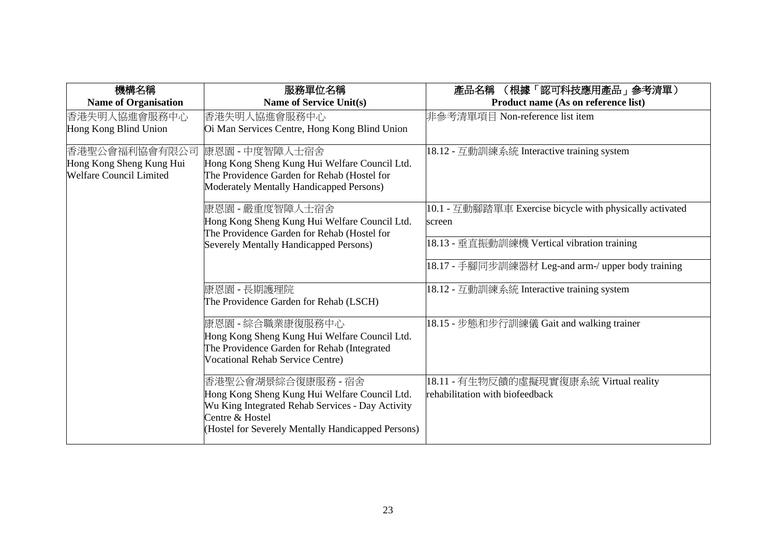| 機構名稱                           | 服務單位名稱                                             | (根據「認可科技應用產品」 参考清單)<br>產品名稱                              |
|--------------------------------|----------------------------------------------------|----------------------------------------------------------|
| <b>Name of Organisation</b>    | <b>Name of Service Unit(s)</b>                     | Product name (As on reference list)                      |
| 香港失明人協進會服務中心                   | 香港失明人協進會服務中心                                       | 非參考清單項目 Non-reference list item                          |
| Hong Kong Blind Union          | Oi Man Services Centre, Hong Kong Blind Union      |                                                          |
| 香港聖公會福利協會有限公司                  | 康恩園 - 中度智障人士宿舍                                     | 18.12 - 互動訓練系統 Interactive training system               |
| Hong Kong Sheng Kung Hui       | Hong Kong Sheng Kung Hui Welfare Council Ltd.      |                                                          |
| <b>Welfare Council Limited</b> | The Providence Garden for Rehab (Hostel for        |                                                          |
|                                | Moderately Mentally Handicapped Persons)           |                                                          |
|                                | 康恩園 - 嚴重度智障人士宿舍                                    | 10.1 - 互動腳踏單車 Exercise bicycle with physically activated |
|                                | Hong Kong Sheng Kung Hui Welfare Council Ltd.      | screen                                                   |
|                                | The Providence Garden for Rehab (Hostel for        |                                                          |
|                                | Severely Mentally Handicapped Persons)             | 18.13 - 垂直振動訓練機 Vertical vibration training              |
|                                |                                                    | 18.17 - 手腳同步訓練器材 Leg-and arm-/ upper body training       |
|                                | 康恩園 - 長期護理院                                        | 18.12 - 互動訓練系統 Interactive training system               |
|                                | The Providence Garden for Rehab (LSCH)             |                                                          |
|                                | 康恩園 - 綜合職業康復服務中心                                   | 18.15 - 步態和步行訓練儀 Gait and walking trainer                |
|                                | Hong Kong Sheng Kung Hui Welfare Council Ltd.      |                                                          |
|                                | The Providence Garden for Rehab (Integrated        |                                                          |
|                                | Vocational Rehab Service Centre)                   |                                                          |
|                                | 香港聖公會湖景綜合復康服務 - 宿舍                                 | 18.11 - 有生物反饋的虛擬現實復康系統 Virtual reality                   |
|                                | Hong Kong Sheng Kung Hui Welfare Council Ltd.      | rehabilitation with biofeedback                          |
|                                | Wu King Integrated Rehab Services - Day Activity   |                                                          |
|                                | Centre & Hostel                                    |                                                          |
|                                | (Hostel for Severely Mentally Handicapped Persons) |                                                          |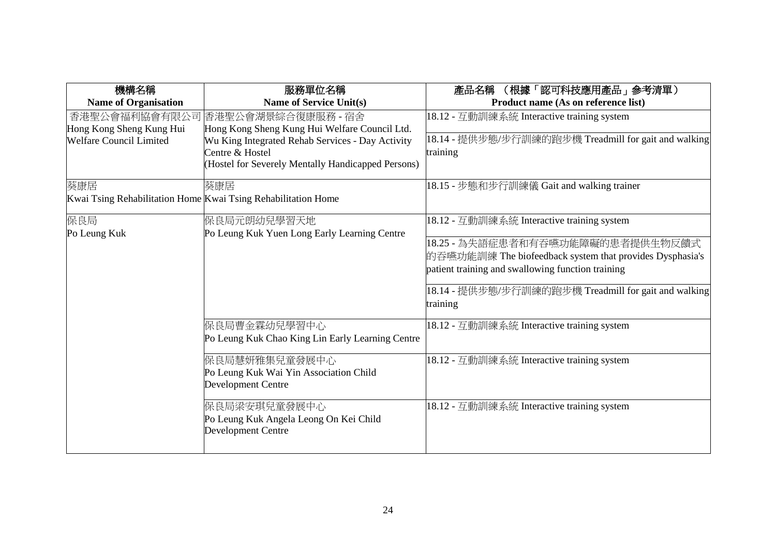| 機構名稱                                                       | 服務單位名稱                                                                                                                                                                                                                            | (根據「認可科技應用產品」参考清單)<br>產品名稱                                                                                                                                                                                                                                          |
|------------------------------------------------------------|-----------------------------------------------------------------------------------------------------------------------------------------------------------------------------------------------------------------------------------|---------------------------------------------------------------------------------------------------------------------------------------------------------------------------------------------------------------------------------------------------------------------|
| <b>Name of Organisation</b>                                | <b>Name of Service Unit(s)</b>                                                                                                                                                                                                    | Product name (As on reference list)                                                                                                                                                                                                                                 |
| Hong Kong Sheng Kung Hui<br><b>Welfare Council Limited</b> | 香港聖公會福利協會有限公司 香港聖公會湖景綜合復康服務 - 宿舍<br>Hong Kong Sheng Kung Hui Welfare Council Ltd.<br>Wu King Integrated Rehab Services - Day Activity<br>Centre & Hostel<br>(Hostel for Severely Mentally Handicapped Persons)                    | 18.12 - 互動訓練系統 Interactive training system<br> 18.14 - 提供步態/步行訓練的跑步機 Treadmill for gait and walking<br>training                                                                                                                                                     |
| 葵康居                                                        | 葵康居<br>Kwai Tsing Rehabilitation Home Kwai Tsing Rehabilitation Home                                                                                                                                                              | 18.15 - 步態和步行訓練儀 Gait and walking trainer                                                                                                                                                                                                                           |
| 保良局<br>Po Leung Kuk                                        | 保良局元朗幼兒學習天地<br>Po Leung Kuk Yuen Long Early Learning Centre                                                                                                                                                                       | 18.12 - 互動訓練系統 Interactive training system<br>18.25 - 為失語症患者和有吞嚥功能障礙的患者提供生物反饋式<br>的吞嚥功能訓練 The biofeedback system that provides Dysphasia's<br>patient training and swallowing function training<br>18.14 - 提供步態/步行訓練的跑步機 Treadmill for gait and walking<br>training |
|                                                            | 保良局曹金霖幼兒學習中心<br>Po Leung Kuk Chao King Lin Early Learning Centre<br>保良局慧妍雅集兒童發展中心<br>Po Leung Kuk Wai Yin Association Child<br>Development Centre<br>保良局梁安琪兒童發展中心<br>Po Leung Kuk Angela Leong On Kei Child<br>Development Centre | 18.12 - 互動訓練系統 Interactive training system<br>18.12 - 互動訓練系統 Interactive training system<br>18.12 - 互動訓練系統 Interactive training system                                                                                                                              |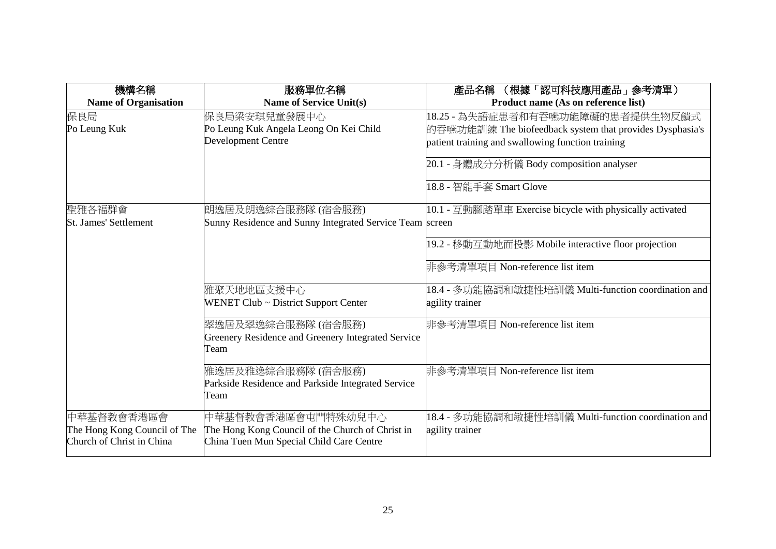| 機構名稱                         | 服務單位名稱                                                   | (根據「認可科技應用產品」参考清單)<br>產品名稱                               |
|------------------------------|----------------------------------------------------------|----------------------------------------------------------|
| <b>Name of Organisation</b>  | <b>Name of Service Unit(s)</b>                           | Product name (As on reference list)                      |
| 保良局                          | 保良局梁安琪兒童發展中心                                             | 18.25 - 為失語症患者和有吞嚥功能障礙的患者提供生物反饋式                         |
| Po Leung Kuk                 | Po Leung Kuk Angela Leong On Kei Child                   | 的吞嚥功能訓練 The biofeedback system that provides Dysphasia's |
|                              | Development Centre                                       | patient training and swallowing function training        |
|                              |                                                          | 20.1 - 身體成分分析儀 Body composition analyser                 |
|                              |                                                          | 18.8 - 智能手套 Smart Glove                                  |
| 聖雅各福群會                       | 朗逸居及朗逸綜合服務隊(宿舍服務)                                        | 10.1 - 互動腳踏單車 Exercise bicycle with physically activated |
| <b>St. James' Settlement</b> | Sunny Residence and Sunny Integrated Service Team screen |                                                          |
|                              |                                                          | 19.2 - 移動互動地面投影 Mobile interactive floor projection      |
|                              |                                                          | 非參考清單項目 Non-reference list item                          |
|                              | 雅聚天地地區支援中心                                               | 18.4 - 多功能協調和敏捷性培訓儀 Multi-function coordination and      |
|                              | WENET Club ~ District Support Center                     | agility trainer                                          |
|                              | 翠逸居及翠逸綜合服務隊(宿舍服務)                                        | 非參考清單項目 Non-reference list item                          |
|                              | Greenery Residence and Greenery Integrated Service       |                                                          |
|                              | Team                                                     |                                                          |
|                              | 雅逸居及雅逸綜合服務隊 (宿舍服務)                                       | 非參考清單項目 Non-reference list item                          |
|                              | Parkside Residence and Parkside Integrated Service       |                                                          |
|                              | Team                                                     |                                                          |
| 中華基督教會香港區會                   | 中華基督教會香港區會屯門特殊幼兒中心                                       | 18.4 - 多功能協調和敏捷性培訓儀 Multi-function coordination and      |
| The Hong Kong Council of The | The Hong Kong Council of the Church of Christ in         | agility trainer                                          |
| Church of Christ in China    | China Tuen Mun Special Child Care Centre                 |                                                          |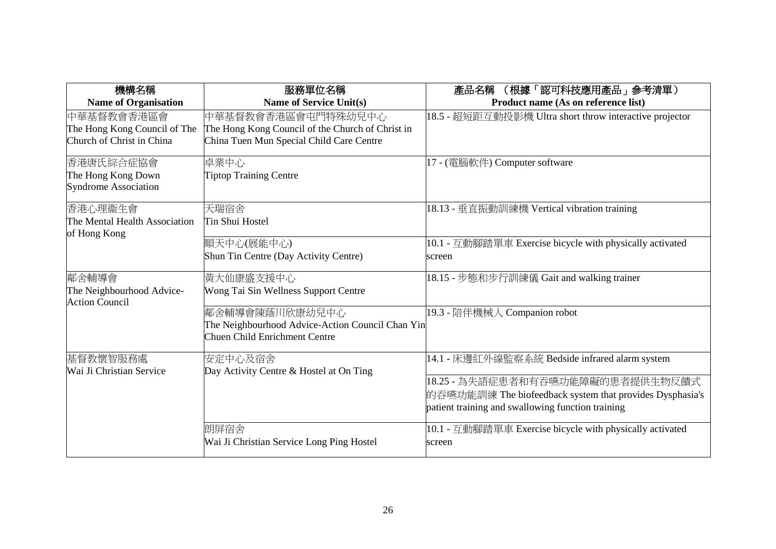| 機構名稱                                                                    | 服務單位名稱                                                                                                             | (根據「認可科技應用產品」參考清單)<br>產品名稱                                                                                                                        |
|-------------------------------------------------------------------------|--------------------------------------------------------------------------------------------------------------------|---------------------------------------------------------------------------------------------------------------------------------------------------|
| <b>Name of Organisation</b>                                             | <b>Name of Service Unit(s)</b>                                                                                     | Product name (As on reference list)                                                                                                               |
| 中華基督教會香港區會<br>The Hong Kong Council of The<br>Church of Christ in China | 中華基督教會香港區會屯門特殊幼兒中心<br>The Hong Kong Council of the Church of Christ in<br>China Tuen Mun Special Child Care Centre | 18.5 - 超短距互動投影機 Ultra short throw interactive projector                                                                                           |
| 香港唐氏綜合症協會<br>The Hong Kong Down<br><b>Syndrome Association</b>          | 卓業中心<br><b>Tiptop Training Centre</b>                                                                              | 17 - (電腦軟件) Computer software                                                                                                                     |
| 香港心理衞生會<br>The Mental Health Association<br>of Hong Kong                | 天瑞宿舍<br>Tin Shui Hostel                                                                                            | 18.13 - 垂直振動訓練機 Vertical vibration training                                                                                                       |
|                                                                         | 順天中心(展能中心)<br>Shun Tin Centre (Day Activity Centre)                                                                | 10.1 - 互動腳踏單車 Exercise bicycle with physically activated<br>screen                                                                                |
| 鄰舍輔導會<br>The Neighbourhood Advice-<br><b>Action Council</b>             | 黃大仙康盛支援中心<br>Wong Tai Sin Wellness Support Centre                                                                  | 18.15 - 步態和步行訓練儀 Gait and walking trainer                                                                                                         |
|                                                                         | 鄰舍輔導會陳蔭川欣康幼兒中心<br>The Neighbourhood Advice-Action Council Chan Yin<br><b>Chuen Child Enrichment Centre</b>         | 19.3 - 陪伴機械人 Companion robot                                                                                                                      |
| 基督教懷智服務處<br>Wai Ji Christian Service                                    | 安定中心及宿舍<br>Day Activity Centre & Hostel at On Ting                                                                 | 14.1 - 床邊紅外線監察系統 Bedside infrared alarm system                                                                                                    |
|                                                                         |                                                                                                                    | 18.25 - 為失語症患者和有吞嚥功能障礙的患者提供生物反饋式<br>的吞嚥功能訓練 The biofeedback system that provides Dysphasia's<br>patient training and swallowing function training |
|                                                                         | 朗屏宿舍<br>Wai Ji Christian Service Long Ping Hostel                                                                  | 10.1 - 互動腳踏單車 Exercise bicycle with physically activated<br>screen                                                                                |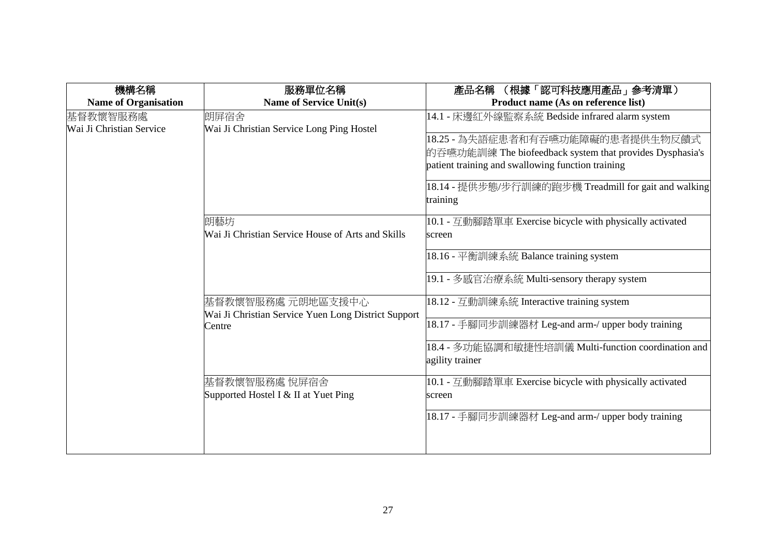| 機構名稱                                 | 服務單位名稱                                                                   | (根據「認可科技應用產品」参考清單)<br>產品名稱                                                                                                                                                                                |
|--------------------------------------|--------------------------------------------------------------------------|-----------------------------------------------------------------------------------------------------------------------------------------------------------------------------------------------------------|
| <b>Name of Organisation</b>          | <b>Name of Service Unit(s)</b>                                           | Product name (As on reference list)                                                                                                                                                                       |
| 基督教懷智服務處<br>Wai Ji Christian Service | 朗屏宿舍<br>Wai Ji Christian Service Long Ping Hostel                        | 14.1 - 床邊紅外線監察系統 Bedside infrared alarm system                                                                                                                                                            |
|                                      |                                                                          | 18.25 - 為失語症患者和有吞嚥功能障礙的患者提供生物反饋式<br>的吞嚥功能訓練 The biofeedback system that provides Dysphasia's<br>patient training and swallowing function training<br>18.14 - 提供步態/步行訓練的跑步機 Treadmill for gait and walking |
|                                      |                                                                          | training                                                                                                                                                                                                  |
|                                      | 朗藝坊<br>Wai Ji Christian Service House of Arts and Skills                 | 10.1 - 互動腳踏單車 Exercise bicycle with physically activated<br>screen                                                                                                                                        |
|                                      |                                                                          | 18.16 - 平衡訓練系統 Balance training system                                                                                                                                                                    |
|                                      |                                                                          | 19.1 - 多感官治療系統 Multi-sensory therapy system                                                                                                                                                               |
|                                      | 基督教懷智服務處 元朗地區支援中心<br>Wai Ji Christian Service Yuen Long District Support | 18.12 - 互動訓練系統 Interactive training system                                                                                                                                                                |
|                                      | Centre                                                                   | 18.17 - 手腳同步訓練器材 Leg-and arm-/ upper body training                                                                                                                                                        |
|                                      |                                                                          | 18.4 - 多功能協調和敏捷性培訓儀 Multi-function coordination and<br>agility trainer                                                                                                                                    |
|                                      | 基督教懷智服務處 悅屏宿舍<br>Supported Hostel I & II at Yuet Ping                    | 10.1 - 互動腳踏單車 Exercise bicycle with physically activated<br>screen                                                                                                                                        |
|                                      |                                                                          | 18.17 - 手腳同步訓練器材 Leg-and arm-/ upper body training                                                                                                                                                        |